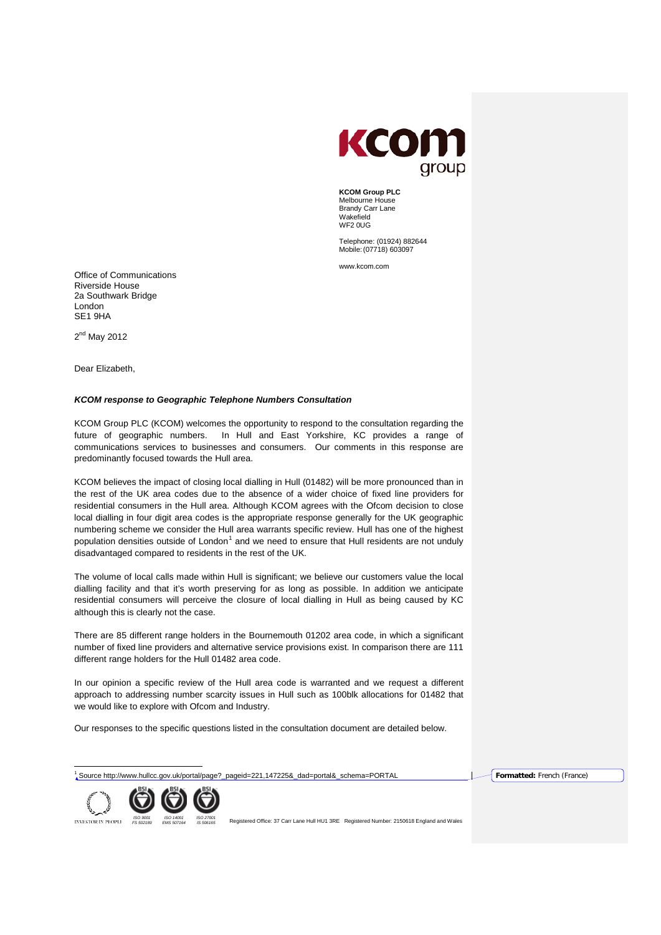

**KCOM Group PLC** Melbourne House Brandy Carr Lane Wakefield WE2 0UG

Telephone: (01924) 882644 Mobile:(07718) 603097

[www.kcom.com](http://www.kcom.com/)

Office of Communications Riverside House 2a Southwark Bridge London SE1 9HA

 $2<sup>nd</sup>$  Mav 2012

Dear Elizabeth,

## *KCOM response to Geographic Telephone Numbers Consultation*

KCOM Group PLC (KCOM) welcomes the opportunity to respond to the consultation regarding the future of geographic numbers. In Hull and East Yorkshire, KC provides a range of communications services to businesses and consumers. Our comments in this response are predominantly focused towards the Hull area.

KCOM believes the impact of closing local dialling in Hull (01482) will be more pronounced than in the rest of the UK area codes due to the absence of a wider choice of fixed line providers for residential consumers in the Hull area. Although KCOM agrees with the Ofcom decision to close local dialling in four digit area codes is the appropriate response generally for the UK geographic numbering scheme we consider the Hull area warrants specific review. Hull has one of the highest population densities outside of  $London<sup>1</sup>$  $London<sup>1</sup>$  $London<sup>1</sup>$  and we need to ensure that Hull residents are not unduly disadvantaged compared to residents in the rest of the UK.

The volume of local calls made within Hull is significant; we believe our customers value the local dialling facility and that it's worth preserving for as long as possible. In addition we anticipate residential consumers will perceive the closure of local dialling in Hull as being caused by KC although this is clearly not the case.

There are 85 different range holders in the Bournemouth 01202 area code, in which a significant number of fixed line providers and alternative service provisions exist. In comparison there are 111 different range holders for the Hull 01482 area code.

In our opinion a specific review of the Hull area code is warranted and we request a different approach to addressing number scarcity issues in Hull such as 100blk allocations for 01482 that we would like to explore with Ofcom and Industry.

Our responses to the specific questions listed in the consultation document are detailed below.

<sup>1</sup> Source http://www.hullcc.gov.uk/portal/page?\_pageid=221,147225&\_dad=portal&\_schema=PORTAL **Formatted:** French (France)



<span id="page-0-0"></span>REGISTER OF 180 ORG AND THE SUNGER OF A REGISTER OF THE REGISTER OF THE REGISTER OF THE REGISTER OF THE REGISTER<br>INVESTOR IN PEOPLE FS 500189 FMS 500184 IS 500165 Registered Office: 37 Carr Lane Hull HU1 3RE Registered Num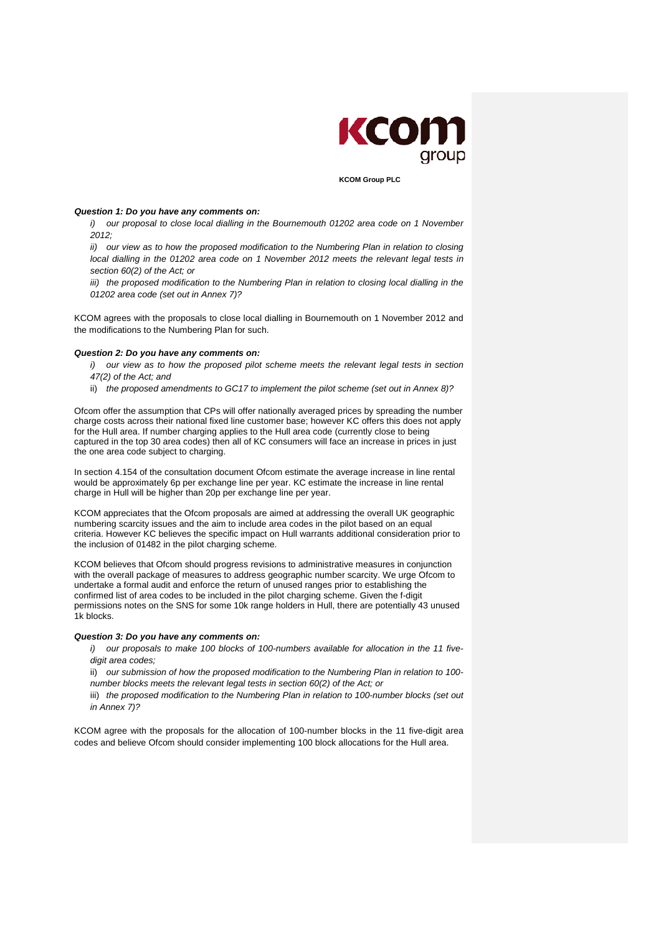

**KCOM Group PLC**

### *Question 1: Do you have any comments on:*

*i*) our proposal to close local dialling in the Bournemouth 01202 area code on 1 November *2012;* 

*ii*) our view as to how the proposed modification to the Numbering Plan in relation to closing *local dialling in the 01202 area code on 1 November 2012 meets the relevant legal tests in section 60(2) of the Act; or* 

*iii)* the proposed modification to the Numbering Plan in relation to closing local dialling in the *01202 area code (set out in Annex 7)?* 

KCOM agrees with the proposals to close local dialling in Bournemouth on 1 November 2012 and the modifications to the Numbering Plan for such.

#### *Question 2: Do you have any comments on:*

*i)* our view as to how the proposed pilot scheme meets the relevant legal tests in section *47(2) of the Act; and* 

ii) *the proposed amendments to GC17 to implement the pilot scheme (set out in Annex 8)?*

Ofcom offer the assumption that CPs will offer nationally averaged prices by spreading the number charge costs across their national fixed line customer base; however KC offers this does not apply for the Hull area. If number charging applies to the Hull area code (currently close to being captured in the top 30 area codes) then all of KC consumers will face an increase in prices in just the one area code subject to charging.

In section 4.154 of the consultation document Ofcom estimate the average increase in line rental would be approximately 6p per exchange line per year. KC estimate the increase in line rental charge in Hull will be higher than 20p per exchange line per year.

KCOM appreciates that the Ofcom proposals are aimed at addressing the overall UK geographic numbering scarcity issues and the aim to include area codes in the pilot based on an equal criteria. However KC believes the specific impact on Hull warrants additional consideration prior to the inclusion of 01482 in the pilot charging scheme.

KCOM believes that Ofcom should progress revisions to administrative measures in conjunction with the overall package of measures to address geographic number scarcity. We urge Ofcom to undertake a formal audit and enforce the return of unused ranges prior to establishing the confirmed list of area codes to be included in the pilot charging scheme. Given the f-digit permissions notes on the SNS for some 10k range holders in Hull, there are potentially 43 unused 1k blocks.

### *Question 3: Do you have any comments on:*

*i) our proposals to make 100 blocks of 100-numbers available for allocation in the 11 fivedigit area codes;* 

ii) *our submission of how the proposed modification to the Numbering Plan in relation to 100 number blocks meets the relevant legal tests in section 60(2) of the Act; or* 

iii) the proposed modification to the Numbering Plan in relation to 100-number blocks (set out *in Annex 7)?* 

KCOM agree with the proposals for the allocation of 100-number blocks in the 11 five-digit area codes and believe Ofcom should consider implementing 100 block allocations for the Hull area.